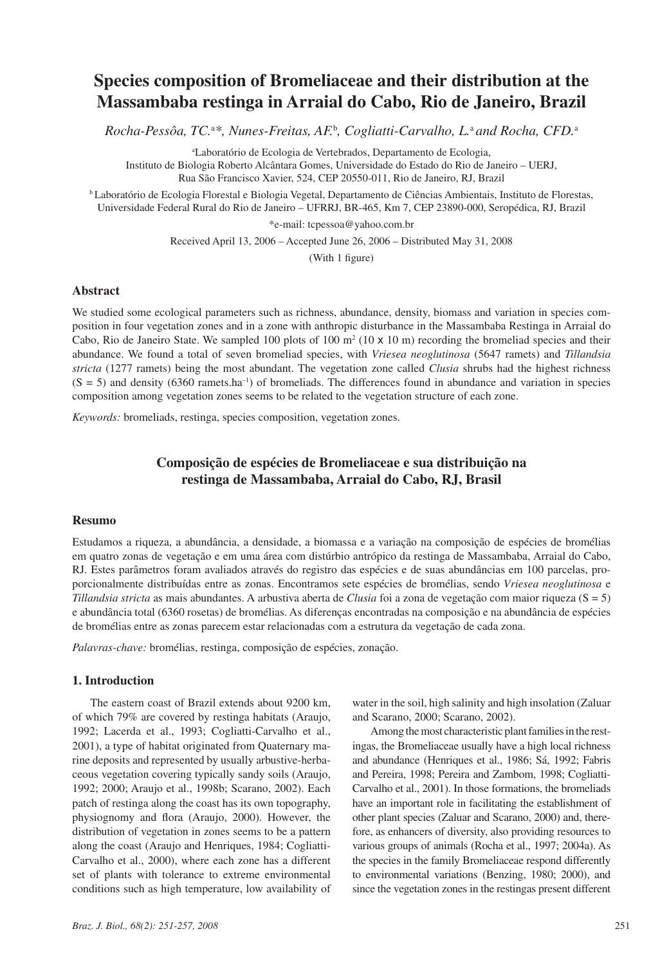# **Species composition of Bromeliaceae and their distribution at the Massambaba restinga in Arraial do Cabo, Rio de Janeiro, Brazil**

*Rocha-Pessôa, TC.*<sup>a</sup> *\*, Nunes-Freitas, AF.*<sup>b</sup> *, Cogliatti-Carvalho, L.*a *and Rocha, CFD.*<sup>a</sup>

a Laboratório de Ecologia de Vertebrados, Departamento de Ecologia, Instituto de Biologia Roberto Alcântara Gomes, Universidade do Estado do Rio de Janeiro – UERJ, Rua São Francisco Xavier, 524, CEP 20550-011, Rio de Janeiro, RJ, Brazil

b Laboratório de Ecologia Florestal e Biologia Vegetal, Departamento de Ciências Ambientais, Instituto de Florestas, Universidade Federal Rural do Rio de Janeiro – UFRRJ, BR-465, Km 7, CEP 23890-000, Seropédica, RJ, Brazil

\*e-mail: tcpessoa@yahoo.com.br

Received April 13, 2006 – Accepted June 26, 2006 – Distributed May 31, 2008

(With 1 figure)

## **Abstract**

We studied some ecological parameters such as richness, abundance, density, biomass and variation in species composition in four vegetation zones and in a zone with anthropic disturbance in the Massambaba Restinga in Arraial do Cabo, Rio de Janeiro State. We sampled 100 plots of 100  $\text{m}^2$  (10 x 10 m) recording the bromeliad species and their abundance. We found a total of seven bromeliad species, with *Vriesea neoglutinosa* (5647 ramets) and *Tillandsia stricta* (1277 ramets) being the most abundant. The vegetation zone called *Clusia* shrubs had the highest richness  $(S = 5)$  and density (6360 ramets.ha<sup>-1</sup>) of bromeliads. The differences found in abundance and variation in species composition among vegetation zones seems to be related to the vegetation structure of each zone.

*Keywords:* bromeliads, restinga, species composition, vegetation zones.

## **Composição de espécies de Bromeliaceae e sua distribuição na restinga de Massambaba, Arraial do Cabo, RJ, Brasil**

#### **Resumo**

Estudamos a riqueza, a abundância, a densidade, a biomassa e a variação na composição de espécies de bromélias em quatro zonas de vegetação e em uma área com distúrbio antrópico da restinga de Massambaba, Arraial do Cabo, RJ. Estes parâmetros foram avaliados através do registro das espécies e de suas abundâncias em 100 parcelas, proporcionalmente distribuídas entre as zonas. Encontramos sete espécies de bromélias, sendo *Vriesea neoglutinosa* e *Tillandsia stricta* as mais abundantes. A arbustiva aberta de *Clusia* foi a zona de vegetação com maior riqueza (S = 5) e abundância total (6360 rosetas) de bromélias. As diferenças encontradas na composição e na abundância de espécies de bromélias entre as zonas parecem estar relacionadas com a estrutura da vegetação de cada zona.

*Palavras-chave:* bromélias, restinga, composição de espécies, zonação.

## **1. Introduction**

The eastern coast of Brazil extends about 9200 km, of which 79% are covered by restinga habitats (Araujo, 1992; Lacerda et al., 1993; Cogliatti-Carvalho et al., 2001), a type of habitat originated from Quaternary marine deposits and represented by usually arbustive-herbaceous vegetation covering typically sandy soils (Araujo, 1992; 2000; Araujo et al., 1998b; Scarano, 2002). Each patch of restinga along the coast has its own topography, physiognomy and flora (Araujo, 2000). However, the distribution of vegetation in zones seems to be a pattern along the coast (Araujo and Henriques, 1984; Cogliatti-Carvalho et al., 2000), where each zone has a different set of plants with tolerance to extreme environmental conditions such as high temperature, low availability of

water in the soil, high salinity and high insolation (Zaluar and Scarano, 2000; Scarano, 2002).

Among the most characteristic plant families in the restingas, the Bromeliaceae usually have a high local richness and abundance (Henriques et al., 1986; Sá, 1992; Fabris and Pereira, 1998; Pereira and Zambom, 1998; Cogliatti-Carvalho et al., 2001). In those formations, the bromeliads have an important role in facilitating the establishment of other plant species (Zaluar and Scarano, 2000) and, therefore, as enhancers of diversity, also providing resources to various groups of animals (Rocha et al., 1997; 2004a). As the species in the family Bromeliaceae respond differently to environmental variations (Benzing, 1980; 2000), and since the vegetation zones in the restingas present different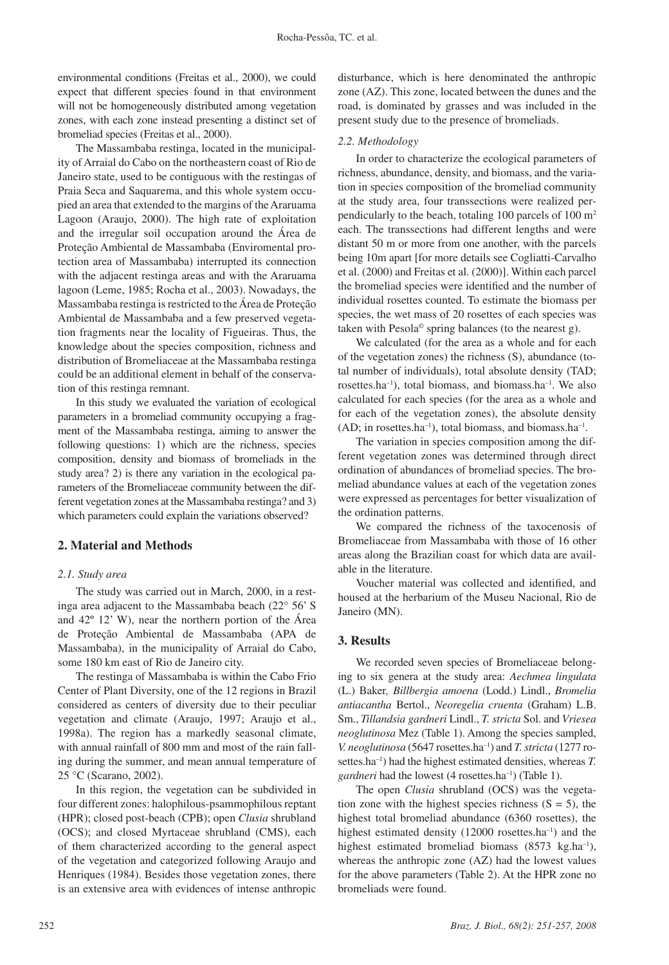environmental conditions (Freitas et al., 2000), we could expect that different species found in that environment will not be homogeneously distributed among vegetation zones, with each zone instead presenting a distinct set of bromeliad species (Freitas et al., 2000).

The Massambaba restinga, located in the municipality of Arraial do Cabo on the northeastern coast of Rio de Janeiro state, used to be contiguous with the restingas of Praia Seca and Saquarema, and this whole system occupied an area that extended to the margins of the Araruama Lagoon (Araujo, 2000). The high rate of exploitation and the irregular soil occupation around the Área de Proteção Ambiental de Massambaba (Enviromental protection area of Massambaba) interrupted its connection with the adjacent restinga areas and with the Araruama lagoon (Leme, 1985; Rocha et al., 2003). Nowadays, the Massambaba restinga is restricted to the Área de Proteção Ambiental de Massambaba and a few preserved vegetation fragments near the locality of Figueiras. Thus, the knowledge about the species composition, richness and distribution of Bromeliaceae at the Massambaba restinga could be an additional element in behalf of the conservation of this restinga remnant.

In this study we evaluated the variation of ecological parameters in a bromeliad community occupying a fragment of the Massambaba restinga, aiming to answer the following questions: 1) which are the richness, species composition, density and biomass of bromeliads in the study area? 2) is there any variation in the ecological parameters of the Bromeliaceae community between the different vegetation zones at the Massambaba restinga? and 3) which parameters could explain the variations observed?

## **2. Material and Methods**

#### *2.1. Study area*

The study was carried out in March, 2000, in a restinga area adjacent to the Massambaba beach (22° 56' S and 42º 12' W), near the northern portion of the Área de Proteção Ambiental de Massambaba (APA de Massambaba), in the municipality of Arraial do Cabo, some 180 km east of Rio de Janeiro city.

The restinga of Massambaba is within the Cabo Frio Center of Plant Diversity, one of the 12 regions in Brazil considered as centers of diversity due to their peculiar vegetation and climate (Araujo, 1997; Araujo et al., 1998a). The region has a markedly seasonal climate, with annual rainfall of 800 mm and most of the rain falling during the summer, and mean annual temperature of 25 °C (Scarano, 2002).

In this region, the vegetation can be subdivided in four different zones: halophilous-psammophilous reptant (HPR); closed post-beach (CPB); open *Clusia* shrubland (OCS); and closed Myrtaceae shrubland (CMS), each of them characterized according to the general aspect of the vegetation and categorized following Araujo and Henriques (1984). Besides those vegetation zones, there is an extensive area with evidences of intense anthropic

disturbance, which is here denominated the anthropic zone (AZ). This zone, located between the dunes and the road, is dominated by grasses and was included in the present study due to the presence of bromeliads.

#### *2.2. Methodology*

In order to characterize the ecological parameters of richness, abundance, density, and biomass, and the variation in species composition of the bromeliad community at the study area, four transsections were realized perpendicularly to the beach, totaling 100 parcels of 100 m2 each. The transsections had different lengths and were distant 50 m or more from one another, with the parcels being 10m apart [for more details see Cogliatti-Carvalho et al. (2000) and Freitas et al. (2000)]. Within each parcel the bromeliad species were identified and the number of individual rosettes counted. To estimate the biomass per species, the wet mass of 20 rosettes of each species was taken with Pesola© spring balances (to the nearest g).

We calculated (for the area as a whole and for each of the vegetation zones) the richness (S), abundance (total number of individuals), total absolute density (TAD; rosettes.ha–1), total biomass, and biomass.ha–1. We also calculated for each species (for the area as a whole and for each of the vegetation zones), the absolute density  $(AD;$  in rosettes.ha<sup>-1</sup>), total biomass, and biomass.ha<sup>-1</sup>.

The variation in species composition among the different vegetation zones was determined through direct ordination of abundances of bromeliad species. The bromeliad abundance values at each of the vegetation zones were expressed as percentages for better visualization of the ordination patterns.

We compared the richness of the taxocenosis of Bromeliaceae from Massambaba with those of 16 other areas along the Brazilian coast for which data are available in the literature.

Voucher material was collected and identified, and housed at the herbarium of the Museu Nacional, Rio de Janeiro (MN).

### **3. Results**

We recorded seven species of Bromeliaceae belonging to six genera at the study area: *Aechmea lingulata*  (L.) Baker*, Billbergia amoena* (Lodd.) Lindl., *Bromelia antiacantha* Bertol., *Neoregelia cruenta* (Graham) L.B. Sm., *Tillandsia gardneri* Lindl., *T. stricta* Sol. and *Vriesea neoglutinosa* Mez (Table 1). Among the species sampled, *V. neoglutinosa* (5647 rosettes.ha–1) and *T. stricta* (1277 rosettes.ha<sup>-1</sup>) had the highest estimated densities, whereas *T*. gardneri had the lowest (4 rosettes.ha<sup>-1</sup>) (Table 1).

The open *Clusia* shrubland (OCS) was the vegetation zone with the highest species richness  $(S = 5)$ , the highest total bromeliad abundance (6360 rosettes), the highest estimated density (12000 rosettes.ha<sup>-1</sup>) and the highest estimated bromeliad biomass (8573 kg.ha<sup>-1</sup>), whereas the anthropic zone (AZ) had the lowest values for the above parameters (Table 2). At the HPR zone no bromeliads were found.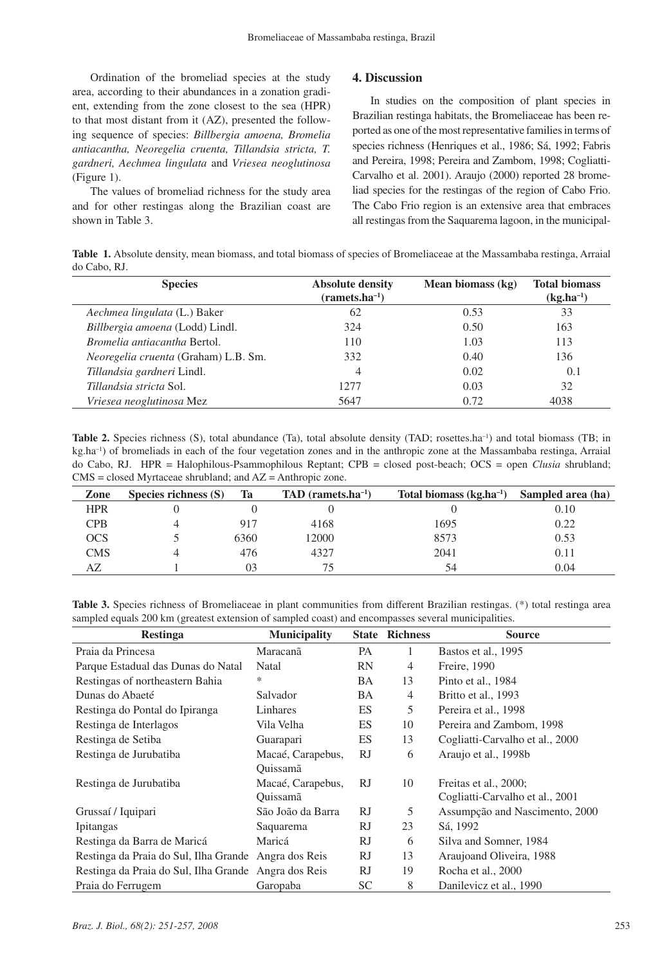Ordination of the bromeliad species at the study area, according to their abundances in a zonation gradient, extending from the zone closest to the sea (HPR) to that most distant from it (AZ), presented the following sequence of species: *Billbergia amoena, Bromelia antiacantha, Neoregelia cruenta, Tillandsia stricta, T. gardneri, Aechmea lingulata* and *Vriesea neoglutinosa* (Figure 1).

The values of bromeliad richness for the study area and for other restingas along the Brazilian coast are shown in Table 3.

## **4. Discussion**

In studies on the composition of plant species in Brazilian restinga habitats, the Bromeliaceae has been reported as one of the most representative families in terms of species richness (Henriques et al., 1986; Sá, 1992; Fabris and Pereira, 1998; Pereira and Zambom, 1998; Cogliatti-Carvalho et al. 2001). Araujo (2000) reported 28 bromeliad species for the restingas of the region of Cabo Frio. The Cabo Frio region is an extensive area that embraces all restingas from the Saquarema lagoon, in the municipal-

**Table 1.** Absolute density, mean biomass, and total biomass of species of Bromeliaceae at the Massambaba restinga, Arraial do Cabo, RJ.

| <b>Species</b>                              | <b>Absolute density</b> | Mean biomass (kg) | <b>Total biomass</b> |
|---------------------------------------------|-------------------------|-------------------|----------------------|
|                                             | $(ramets.ha^{-1})$      |                   | $(kg.ha^{-1})$       |
| Aechmea lingulata (L.) Baker                | 62                      | 0.53              | 33                   |
| Billbergia amoena (Lodd) Lindl.             | 324                     | 0.50              | 163                  |
| <i>Bromelia antiacantha Bertol.</i>         | 110                     | 1.03              | 113                  |
| <i>Neoregelia cruenta</i> (Graham) L.B. Sm. | 332                     | 0.40              | 136                  |
| Tillandsia gardneri Lindl.                  | 4                       | 0.02              | 0.1                  |
| Tillandsia stricta Sol.                     | 12.77                   | 0.03              | 32                   |
| Vriesea neoglutinosa Mez                    | 5647                    | 0.72              | 4038                 |

**Table 2.** Species richness (S), total abundance (Ta), total absolute density (TAD; rosettes.ha<sup>-1</sup>) and total biomass (TB; in kg.ha–1) of bromeliads in each of the four vegetation zones and in the anthropic zone at the Massambaba restinga, Arraial do Cabo, RJ. HPR = Halophilous-Psammophilous Reptant; CPB = closed post-beach; OCS = open *Clusia* shrubland; CMS = closed Myrtaceae shrubland; and AZ = Anthropic zone.

| Zone       | Species richness $(S)$ | Ta   | $TAD$ (ramets.ha <sup>-1</sup> ) | Total biomass $(kg, ha^{-1})$ | Sampled area (ha) |
|------------|------------------------|------|----------------------------------|-------------------------------|-------------------|
| <b>HPR</b> |                        |      |                                  |                               | 0.10              |
| <b>CPB</b> |                        | 917  | 4168                             | 1695                          | 0.22              |
| OCS        |                        | 6360 | 12000                            | 8573                          | 0.53              |
| <b>CMS</b> |                        | 476  | 4327                             | 2041                          | 0.11              |
| AZ         |                        | 03   |                                  | 54                            | 0.04              |

**Table 3.** Species richness of Bromeliaceae in plant communities from different Brazilian restingas. (\*) total restinga area sampled equals 200 km (greatest extension of sampled coast) and encompasses several municipalities.

| <b>Restinga</b>                                      | <b>Municipality</b> |           | <b>State Richness</b> | <b>Source</b>                   |
|------------------------------------------------------|---------------------|-----------|-----------------------|---------------------------------|
| Praia da Princesa                                    | Maracanã            | PA        | 1                     | Bastos et al., 1995             |
| Parque Estadual das Dunas do Natal                   | Natal               | <b>RN</b> | $\overline{4}$        | Freire, 1990                    |
| Restingas of northeastern Bahia                      | *                   | BA        | 13                    | Pinto et al., 1984              |
| Dunas do Abaeté                                      | Salvador            | BA        | $\overline{4}$        | Britto et al., 1993             |
| Restinga do Pontal do Ipiranga                       | Linhares            | ES        | 5                     | Pereira et al., 1998            |
| Restinga de Interlagos                               | Vila Velha          | ES        | 10                    | Pereira and Zambom, 1998        |
| Restinga de Setiba                                   | Guarapari           | <b>ES</b> | 13                    | Cogliatti-Carvalho et al., 2000 |
| Restinga de Jurubatiba                               | Macaé, Carapebus,   | RJ        | 6                     | Araujo et al., 1998b            |
|                                                      | Ouissamã            |           |                       |                                 |
| Restinga de Jurubatiba                               | Macaé, Carapebus,   | <b>RJ</b> | 10                    | Freitas et al., 2000;           |
|                                                      | Ouissamã            |           |                       | Cogliatti-Carvalho et al., 2001 |
| Grussaí / Iquipari                                   | São João da Barra   | RJ.       | 5                     | Assumpção and Nascimento, 2000  |
| <i>Ipitangas</i>                                     | Saquarema           | RJ        | 23                    | Sá, 1992                        |
| Restinga da Barra de Maricá                          | Maricá              | RJ        | 6                     | Silva and Somner, 1984          |
| Restinga da Praia do Sul, Ilha Grande Angra dos Reis |                     | RJ        | 13                    | Araujoand Oliveira, 1988        |
| Restinga da Praia do Sul, Ilha Grande Angra dos Reis |                     | RJ        | 19                    | Rocha et al., 2000              |
| Praia do Ferrugem                                    | Garopaba            | <b>SC</b> | 8                     | Danilevicz et al., 1990         |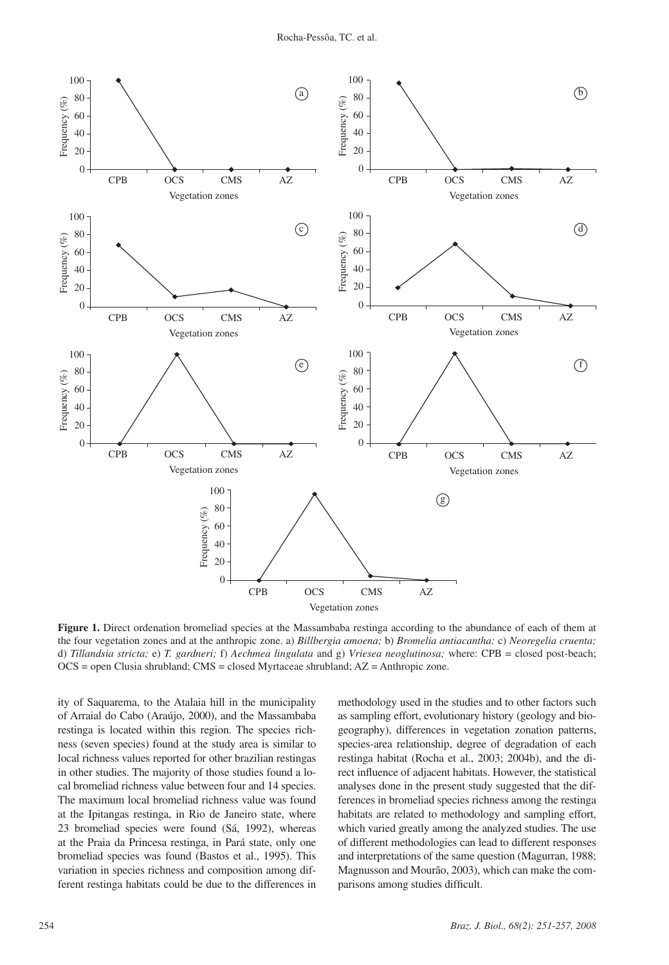

**Figure 1.** Direct ordenation bromeliad species at the Massambaba restinga according to the abundance of each of them at the four vegetation zones and at the anthropic zone. a) *Billbergia amoena;* b) *Bromelia antiacantha;* c) *Neoregelia cruenta;*  d) *Tillandsia stricta;* e) *T. gardneri;* f) *Aechmea lingulata* and g) *Vriesea neoglutinosa;* where: CPB = closed post-beach;  $OCS =$  open Clusia shrubland;  $CMS = closed Myrtaceae$  shrubland;  $AZ = Anthropic$  zone.

ity of Saquarema, to the Atalaia hill in the municipality of Arraial do Cabo (Araújo, 2000), and the Massambaba restinga is located within this region. The species richness (seven species) found at the study area is similar to local richness values reported for other brazilian restingas in other studies. The majority of those studies found a local bromeliad richness value between four and 14 species. The maximum local bromeliad richness value was found at the Ipitangas restinga, in Rio de Janeiro state, where 23 bromeliad species were found (Sá, 1992), whereas at the Praia da Princesa restinga, in Pará state, only one bromeliad species was found (Bastos et al., 1995). This variation in species richness and composition among different restinga habitats could be due to the differences in methodology used in the studies and to other factors such as sampling effort, evolutionary history (geology and biogeography), differences in vegetation zonation patterns, species-area relationship, degree of degradation of each restinga habitat (Rocha et al., 2003; 2004b), and the direct influence of adjacent habitats. However, the statistical analyses done in the present study suggested that the differences in bromeliad species richness among the restinga habitats are related to methodology and sampling effort, which varied greatly among the analyzed studies. The use of different methodologies can lead to different responses and interpretations of the same question (Magurran, 1988; Magnusson and Mourão, 2003), which can make the comparisons among studies difficult.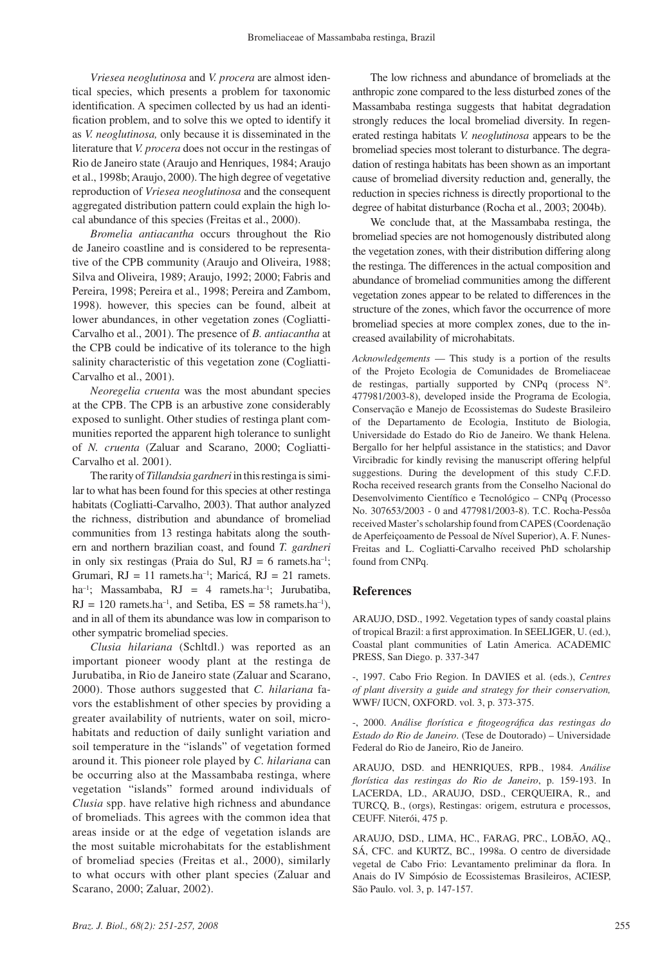*Vriesea neoglutinosa* and *V. procera* are almost identical species, which presents a problem for taxonomic identification. A specimen collected by us had an identification problem, and to solve this we opted to identify it as *V. neoglutinosa,* only because it is disseminated in the literature that *V. procera* does not occur in the restingas of Rio de Janeiro state (Araujo and Henriques, 1984; Araujo et al., 1998b; Araujo, 2000). The high degree of vegetative reproduction of *Vriesea neoglutinosa* and the consequent aggregated distribution pattern could explain the high local abundance of this species (Freitas et al., 2000).

*Bromelia antiacantha* occurs throughout the Rio de Janeiro coastline and is considered to be representative of the CPB community (Araujo and Oliveira, 1988; Silva and Oliveira, 1989; Araujo, 1992; 2000; Fabris and Pereira, 1998; Pereira et al., 1998; Pereira and Zambom, 1998). however, this species can be found, albeit at lower abundances, in other vegetation zones (Cogliatti-Carvalho et al., 2001). The presence of *B. antiacantha* at the CPB could be indicative of its tolerance to the high salinity characteristic of this vegetation zone (Cogliatti-Carvalho et al., 2001).

*Neoregelia cruenta* was the most abundant species at the CPB. The CPB is an arbustive zone considerably exposed to sunlight. Other studies of restinga plant communities reported the apparent high tolerance to sunlight of *N. cruenta* (Zaluar and Scarano, 2000; Cogliatti-Carvalho et al. 2001).

The rarity of *Tillandsia gardneri* in this restinga is similar to what has been found for this species at other restinga habitats (Cogliatti-Carvalho, 2003). That author analyzed the richness, distribution and abundance of bromeliad communities from 13 restinga habitats along the southern and northern brazilian coast, and found *T. gardneri* in only six restingas (Praia do Sul,  $RJ = 6$  ramets.ha<sup>-1</sup>; Grumari,  $RJ = 11$  ramets.ha<sup>-1</sup>; Maricá,  $RJ = 21$  ramets. ha<sup>-1</sup>; Massambaba, RJ = 4 ramets.ha<sup>-1</sup>; Jurubatiba,  $RJ = 120$  ramets.ha<sup>-1</sup>, and Setiba,  $ES = 58$  ramets.ha<sup>-1</sup>), and in all of them its abundance was low in comparison to other sympatric bromeliad species.

*Clusia hilariana* (Schltdl.) was reported as an important pioneer woody plant at the restinga de Jurubatiba, in Rio de Janeiro state (Zaluar and Scarano, 2000). Those authors suggested that *C. hilariana* favors the establishment of other species by providing a greater availability of nutrients, water on soil, microhabitats and reduction of daily sunlight variation and soil temperature in the "islands" of vegetation formed around it. This pioneer role played by *C. hilariana* can be occurring also at the Massambaba restinga, where vegetation "islands" formed around individuals of *Clusia* spp. have relative high richness and abundance of bromeliads. This agrees with the common idea that areas inside or at the edge of vegetation islands are the most suitable microhabitats for the establishment of bromeliad species (Freitas et al., 2000), similarly to what occurs with other plant species (Zaluar and Scarano, 2000; Zaluar, 2002).

The low richness and abundance of bromeliads at the anthropic zone compared to the less disturbed zones of the Massambaba restinga suggests that habitat degradation strongly reduces the local bromeliad diversity. In regenerated restinga habitats *V. neoglutinosa* appears to be the bromeliad species most tolerant to disturbance. The degradation of restinga habitats has been shown as an important cause of bromeliad diversity reduction and, generally, the reduction in species richness is directly proportional to the degree of habitat disturbance (Rocha et al., 2003; 2004b).

We conclude that, at the Massambaba restinga, the bromeliad species are not homogenously distributed along the vegetation zones, with their distribution differing along the restinga. The differences in the actual composition and abundance of bromeliad communities among the different vegetation zones appear to be related to differences in the structure of the zones, which favor the occurrence of more bromeliad species at more complex zones, due to the increased availability of microhabitats.

*Acknowledgements* — This study is a portion of the results of the Projeto Ecologia de Comunidades de Bromeliaceae de restingas, partially supported by CNPq (process N°. 477981/2003-8), developed inside the Programa de Ecologia, Conservação e Manejo de Ecossistemas do Sudeste Brasileiro of the Departamento de Ecologia, Instituto de Biologia, Universidade do Estado do Rio de Janeiro. We thank Helena. Bergallo for her helpful assistance in the statistics; and Davor Vircibradic for kindly revising the manuscript offering helpful suggestions. During the development of this study C.F.D. Rocha received research grants from the Conselho Nacional do Desenvolvimento Científico e Tecnológico – CNPq (Processo No. 307653/2003 - 0 and 477981/2003-8). T.C. Rocha-Pessôa received Master's scholarship found from CAPES (Coordenação de Aperfeiçoamento de Pessoal de Nível Superior), A. F. Nunes-Freitas and L. Cogliatti-Carvalho received PhD scholarship found from CNPq.

#### **References**

ARAUJO, DSD., 1992. Vegetation types of sandy coastal plains of tropical Brazil: a first approximation. In SEELIGER, U. (ed.), Coastal plant communities of Latin America. ACADEMIC PRESS, San Diego. p. 337-347

-, 1997. Cabo Frio Region. In DAVIES et al. (eds.), *Centres of plant diversity a guide and strategy for their conservation,*  WWF/ IUCN, OXFORD. vol. 3, p. 373-375.

-, 2000. *Análise florística e fitogeográfica das restingas do Estado do Rio de Janeiro*. (Tese de Doutorado) – Universidade Federal do Rio de Janeiro, Rio de Janeiro.

ARAUJO, DSD. and HENRIQUES, RPB., 1984. *Análise florística das restingas do Rio de Janeiro*, p. 159-193. In LACERDA, LD., ARAUJO, DSD., CERQUEIRA, R., and TURCQ, B., (orgs), Restingas: origem, estrutura e processos, CEUFF. Niterói, 475 p.

ARAUJO, DSD., LIMA, HC., FARAG, PRC., LOBÃO, AQ., SÁ, CFC. and KURTZ, BC., 1998a. O centro de diversidade vegetal de Cabo Frio: Levantamento preliminar da flora. In Anais do IV Simpósio de Ecossistemas Brasileiros, ACIESP, São Paulo. vol. 3, p. 147-157.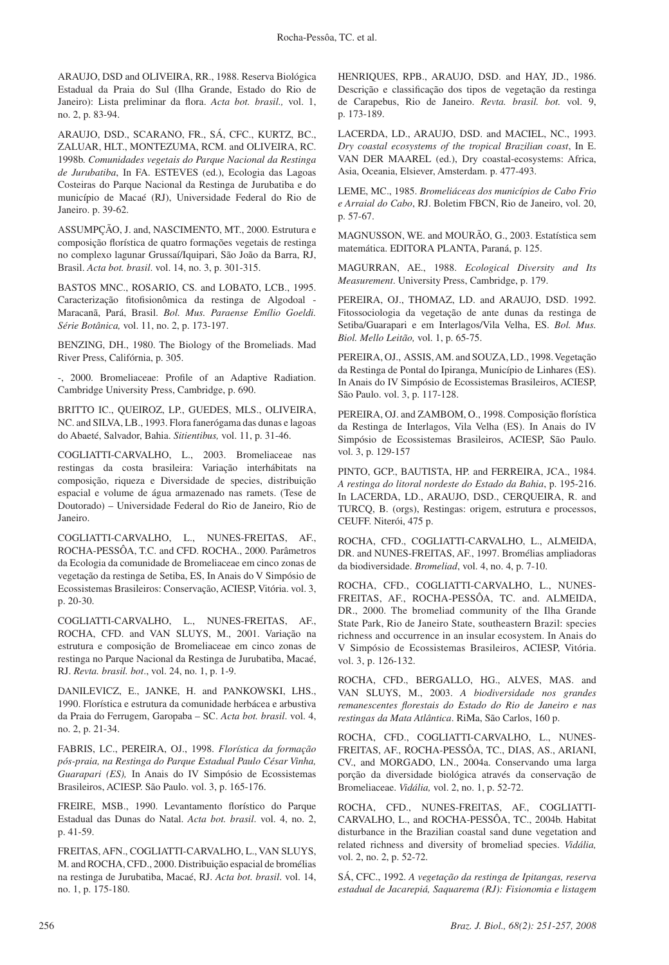ARAUJO, DSD and OLIVEIRA, RR., 1988. Reserva Biológica Estadual da Praia do Sul (Ilha Grande, Estado do Rio de Janeiro): Lista preliminar da flora. *Acta bot. brasil.,* vol. 1, no. 2, p. 83-94.

ARAUJO, DSD., SCARANO, FR., SÁ, CFC., KURTZ, BC., ZALUAR, HLT., MONTEZUMA, RCM. and OLIVEIRA, RC. 1998b. *Comunidades vegetais do Parque Nacional da Restinga de Jurubatiba*, In FA. ESTEVES (ed.), Ecologia das Lagoas Costeiras do Parque Nacional da Restinga de Jurubatiba e do município de Macaé (RJ), Universidade Federal do Rio de Janeiro. p. 39-62.

ASSUMPÇÃO, J. and, NASCIMENTO, MT., 2000. Estrutura e composição florística de quatro formações vegetais de restinga no complexo lagunar Grussaí/Iquipari, São João da Barra, RJ, Brasil. *Acta bot. brasil*. vol. 14, no. 3, p. 301-315.

BASTOS MNC., ROSARIO, CS. and LOBATO, LCB., 1995. Caracterização fitofisionômica da restinga de Algodoal - Maracanã, Pará, Brasil. *Bol. Mus. Paraense Emílio Goeldi. Série Botânica,* vol. 11, no. 2, p. 173-197.

BENZING, DH., 1980. The Biology of the Bromeliads. Mad River Press, Califórnia, p. 305.

-, 2000. Bromeliaceae: Profile of an Adaptive Radiation. Cambridge University Press, Cambridge, p. 690.

BRITTO IC., QUEIROZ, LP., GUEDES, MLS., OLIVEIRA, NC. and SILVA, LB., 1993. Flora fanerógama das dunas e lagoas do Abaeté, Salvador, Bahia. *Sitientibus,* vol. 11, p. 31-46.

COGLIATTI-CARVALHO, L., 2003. Bromeliaceae nas restingas da costa brasileira: Variação interhábitats na composição, riqueza e Diversidade de species, distribuição espacial e volume de água armazenado nas ramets. (Tese de Doutorado) – Universidade Federal do Rio de Janeiro, Rio de Janeiro.

COGLIATTI-CARVALHO, L., NUNES-FREITAS, AF., ROCHA-PESSÔA, T.C. and CFD. ROCHA., 2000. Parâmetros da Ecologia da comunidade de Bromeliaceae em cinco zonas de vegetação da restinga de Setiba, ES, In Anais do V Simpósio de Ecossistemas Brasileiros: Conservação, ACIESP, Vitória. vol. 3, p. 20-30.

COGLIATTI-CARVALHO, L., NUNES-FREITAS, AF., ROCHA, CFD. and VAN SLUYS, M., 2001. Variação na estrutura e composição de Bromeliaceae em cinco zonas de restinga no Parque Nacional da Restinga de Jurubatiba, Macaé, RJ. *Revta. brasil. bot*., vol. 24, no. 1, p. 1-9.

DANILEVICZ, E., JANKE, H. and PANKOWSKI, LHS., 1990. Florística e estrutura da comunidade herbácea e arbustiva da Praia do Ferrugem, Garopaba – SC. *Acta bot. brasil*. vol. 4, no. 2, p. 21-34.

FABRIS, LC., PEREIRA, OJ., 1998. *Florística da formação pós-praia, na Restinga do Parque Estadual Paulo César Vinha, Guarapari (ES),* In Anais do IV Simpósio de Ecossistemas Brasileiros, ACIESP. São Paulo. vol. 3, p. 165-176.

FREIRE, MSB., 1990. Levantamento florístico do Parque Estadual das Dunas do Natal. *Acta bot. brasil*. vol. 4, no. 2, p. 41-59.

FREITAS, AFN., COGLIATTI-CARVALHO, L., VAN SLUYS, M. and ROCHA, CFD., 2000. Distribuição espacial de bromélias na restinga de Jurubatiba, Macaé, RJ. *Acta bot. brasil*. vol. 14, no. 1, p. 175-180.

HENRIQUES, RPB., ARAUJO, DSD. and HAY, JD., 1986. Descrição e classificação dos tipos de vegetação da restinga de Carapebus, Rio de Janeiro. *Revta. brasil. bot.* vol. 9, p. 173-189.

LACERDA, LD., ARAUJO, DSD. and MACIEL, NC., 1993. *Dry coastal ecosystems of the tropical Brazilian coast*, In E. VAN DER MAAREL (ed.), Dry coastal-ecosystems: Africa, Asia, Oceania, Elsiever, Amsterdam. p. 477-493.

LEME, MC., 1985. *Bromeliáceas dos municípios de Cabo Frio e Arraial do Cabo*, RJ. Boletim FBCN, Rio de Janeiro, vol. 20, p. 57-67.

MAGNUSSON, WE. and MOURÃO, G., 2003. Estatística sem matemática. EDITORA PLANTA, Paraná, p. 125.

MAGURRAN, AE., 1988. *Ecological Diversity and Its Measurement*. University Press, Cambridge, p. 179.

PEREIRA, OJ., THOMAZ, LD. and ARAUJO, DSD. 1992. Fitossociologia da vegetação de ante dunas da restinga de Setiba/Guarapari e em Interlagos/Vila Velha, ES. *Bol. Mus. Biol. Mello Leitão,* vol. 1, p. 65-75.

PEREIRA, OJ., ASSIS, AM. and SOUZA, LD., 1998. Vegetação da Restinga de Pontal do Ipiranga, Município de Linhares (ES). In Anais do IV Simpósio de Ecossistemas Brasileiros, ACIESP, São Paulo. vol. 3, p. 117-128.

PEREIRA, OJ. and ZAMBOM, O., 1998. Composição florística da Restinga de Interlagos, Vila Velha (ES). In Anais do IV Simpósio de Ecossistemas Brasileiros, ACIESP, São Paulo. vol. 3, p. 129-157

PINTO, GCP., BAUTISTA, HP. and FERREIRA, JCA., 1984. *A restinga do litoral nordeste do Estado da Bahia*, p. 195-216. In LACERDA, LD., ARAUJO, DSD., CERQUEIRA, R. and TURCQ, B. (orgs), Restingas: origem, estrutura e processos, CEUFF. Niterói, 475 p.

ROCHA, CFD., COGLIATTI-CARVALHO, L., ALMEIDA, DR. and NUNES-FREITAS, AF., 1997. Bromélias ampliadoras da biodiversidade. *Bromeliad*, vol. 4, no. 4, p. 7-10.

ROCHA, CFD., COGLIATTI-CARVALHO, L., NUNES-FREITAS, AF., ROCHA-PESSÔA, TC. and. ALMEIDA, DR., 2000. The bromeliad community of the Ilha Grande State Park, Rio de Janeiro State, southeastern Brazil: species richness and occurrence in an insular ecosystem. In Anais do V Simpósio de Ecossistemas Brasileiros, ACIESP, Vitória. vol. 3, p. 126-132.

ROCHA, CFD., BERGALLO, HG., ALVES, MAS. and VAN SLUYS, M., 2003. *A biodiversidade nos grandes remanescentes florestais do Estado do Rio de Janeiro e nas restingas da Mata Atlântica*. RiMa, São Carlos, 160 p.

ROCHA, CFD., COGLIATTI-CARVALHO, L., NUNES-FREITAS, AF., ROCHA-PESSÔA, TC., DIAS, AS., ARIANI, CV., and MORGADO, LN., 2004a. Conservando uma larga porção da diversidade biológica através da conservação de Bromeliaceae. *Vidália,* vol. 2, no. 1, p. 52-72.

ROCHA, CFD., NUNES-FREITAS, AF., COGLIATTI-CARVALHO, L., and ROCHA-PESSÔA, TC., 2004b. Habitat disturbance in the Brazilian coastal sand dune vegetation and related richness and diversity of bromeliad species. *Vidália,* vol. 2, no. 2, p. 52-72.

SÁ, CFC., 1992. *A vegetação da restinga de Ipitangas, reserva estadual de Jacarepiá, Saquarema (RJ): Fisionomia e listagem*